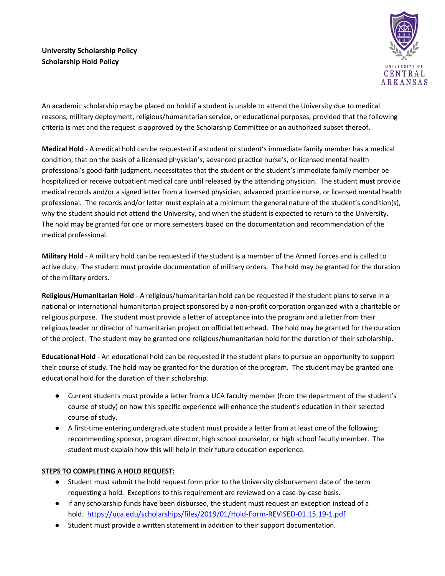

An academic scholarship may be placed on hold if a student is unable to attend the University due to medical reasons, military deployment, religious/humanitarian service, or educational purposes, provided that the following criteria is met and the request is approved by the Scholarship Committee or an authorized subset thereof.

**Medical Hold** - A medical hold can be requested if a student or student's immediate family member has a medical condition, that on the basis of a licensed physician's, advanced practice nurse's, or licensed mental health professional's good-faith judgment, necessitates that the student or the student's immediate family member be hospitalized or receive outpatient medical care until released by the attending physician. The student **must** provide medical records and/or a signed letter from a licensed physician, advanced practice nurse, or licensed mental health professional. The records and/or letter must explain at a minimum the general nature of the student's condition(s), why the student should not attend the University, and when the student is expected to return to the University. The hold may be granted for one or more semesters based on the documentation and recommendation of the medical professional.

**Military Hold** - A military hold can be requested if the student is a member of the Armed Forces and is called to active duty. The student must provide documentation of military orders. The hold may be granted for the duration of the military orders.

**Religious/Humanitarian Hold** - A religious/humanitarian hold can be requested if the student plans to serve in a national or international humanitarian project sponsored by a non-profit corporation organized with a charitable or religious purpose. The student must provide a letter of acceptance into the program and a letter from their religious leader or director of humanitarian project on official letterhead. The hold may be granted for the duration of the project. The student may be granted one religious/humanitarian hold for the duration of their scholarship.

**Educational Hold** - An educational hold can be requested if the student plans to pursue an opportunity to support their course of study. The hold may be granted for the duration of the program. The student may be granted one educational hold for the duration of their scholarship.

- Current students must provide a letter from a UCA faculty member (from the department of the student's course of study) on how this specific experience will enhance the student's education in their selected course of study.
- A first-time entering undergraduate student must provide a letter from at least one of the following: recommending sponsor, program director, high school counselor, or high school faculty member. The student must explain how this will help in their future education experience.

## **STEPS TO COMPLETING A HOLD REQUEST:**

- Student must submit the hold request form prior to the University disbursement date of the term requesting a hold. Exceptions to this requirement are reviewed on a case-by-case basis.
- If any scholarship funds have been disbursed, the student must request an exception instead of a hold. <https://uca.edu/scholarships/files/2019/01/Hold-Form-REVISED-01.15.19-1.pdf>
- Student must provide a written statement in addition to their support documentation.